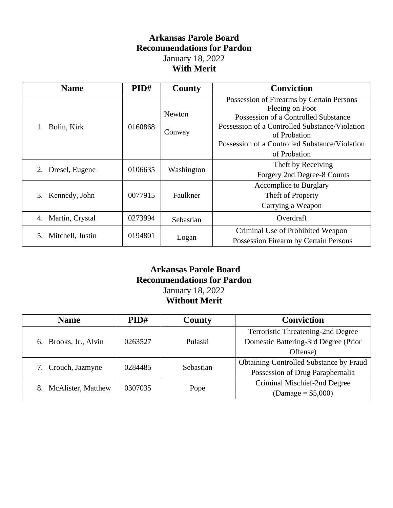## **Arkansas Parole Board Recommendations for Pardon** January 18, 2022 **With Merit**

| <b>Name</b>            | PID#    | County                  | <b>Conviction</b>                                                                                                                                                                                                                        |
|------------------------|---------|-------------------------|------------------------------------------------------------------------------------------------------------------------------------------------------------------------------------------------------------------------------------------|
| Bolin, Kirk            | 0160868 | <b>Newton</b><br>Conway | Possession of Firearms by Certain Persons<br>Fleeing on Foot<br>Possession of a Controlled Substance<br>Possession of a Controlled Substance/Violation<br>of Probation<br>Possession of a Controlled Substance/Violation<br>of Probation |
| 2. Dresel, Eugene      | 0106635 | Washington              | Theft by Receiving<br>Forgery 2nd Degree-8 Counts                                                                                                                                                                                        |
| 3. Kennedy, John       | 0077915 | Faulkner                | <b>Accomplice to Burglary</b><br>Theft of Property<br>Carrying a Weapon                                                                                                                                                                  |
| 4. Martin, Crystal     | 0273994 | Sebastian               | Overdraft                                                                                                                                                                                                                                |
| Mitchell, Justin<br>5. | 0194801 | Logan                   | Criminal Use of Prohibited Weapon<br>Possession Firearm by Certain Persons                                                                                                                                                               |

#### **Arkansas Parole Board Recommendations for Pardon** January 18, 2022 **Without Merit**

| <b>Name</b>                     | PID#    | County    | <b>Conviction</b>                              |
|---------------------------------|---------|-----------|------------------------------------------------|
| 6. Brooks, Jr., Alvin           | 0263527 | Pulaski   | Terroristic Threatening-2nd Degree             |
|                                 |         |           | Domestic Battering-3rd Degree (Prior           |
|                                 |         |           | Offense)                                       |
|                                 | 0284485 | Sebastian | <b>Obtaining Controlled Substance by Fraud</b> |
| 7. Crouch, Jazmyne              |         |           | Possession of Drug Paraphernalia               |
| <b>McAlister, Matthew</b><br>8. | 0307035 | Pope      | Criminal Mischief-2nd Degree                   |
|                                 |         |           | $(Damage = $5,000)$                            |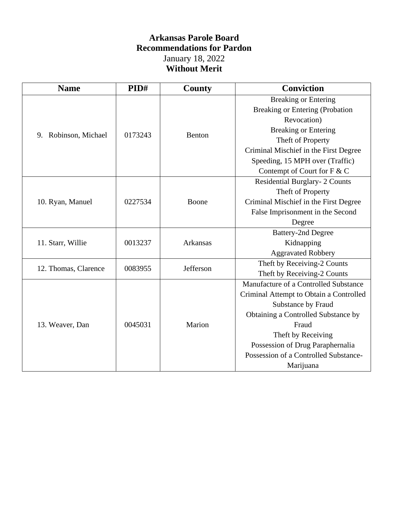## **Arkansas Parole Board Recommendations for Pardon** January 18, 2022 **Without Merit**

| <b>Name</b>             | PID#                                         | County   | <b>Conviction</b>                       |
|-------------------------|----------------------------------------------|----------|-----------------------------------------|
| Robinson, Michael<br>9. | 0173243                                      | Benton   | <b>Breaking or Entering</b>             |
|                         |                                              |          | <b>Breaking or Entering (Probation</b>  |
|                         |                                              |          | Revocation)                             |
|                         |                                              |          | <b>Breaking or Entering</b>             |
|                         |                                              |          | Theft of Property                       |
|                         |                                              |          | Criminal Mischief in the First Degree   |
|                         |                                              |          | Speeding, 15 MPH over (Traffic)         |
|                         |                                              |          | Contempt of Court for F & C             |
|                         | 0227534                                      | Boone    | Residential Burglary- 2 Counts          |
|                         |                                              |          | Theft of Property                       |
| 10. Ryan, Manuel        |                                              |          | Criminal Mischief in the First Degree   |
|                         |                                              |          | False Imprisonment in the Second        |
|                         |                                              |          | Degree                                  |
| 11. Starr, Willie       | 0013237                                      | Arkansas | <b>Battery-2nd Degree</b>               |
|                         |                                              |          | Kidnapping                              |
|                         |                                              |          | <b>Aggravated Robbery</b>               |
|                         | Jefferson<br>12. Thomas, Clarence<br>0083955 |          | Theft by Receiving-2 Counts             |
|                         |                                              |          | Theft by Receiving-2 Counts             |
| 13. Weaver, Dan         | 0045031                                      | Marion   | Manufacture of a Controlled Substance   |
|                         |                                              |          | Criminal Attempt to Obtain a Controlled |
|                         |                                              |          | Substance by Fraud                      |
|                         |                                              |          | Obtaining a Controlled Substance by     |
|                         |                                              |          | Fraud                                   |
|                         |                                              |          | Theft by Receiving                      |
|                         |                                              |          | Possession of Drug Paraphernalia        |
|                         |                                              |          | Possession of a Controlled Substance-   |
|                         |                                              |          | Marijuana                               |